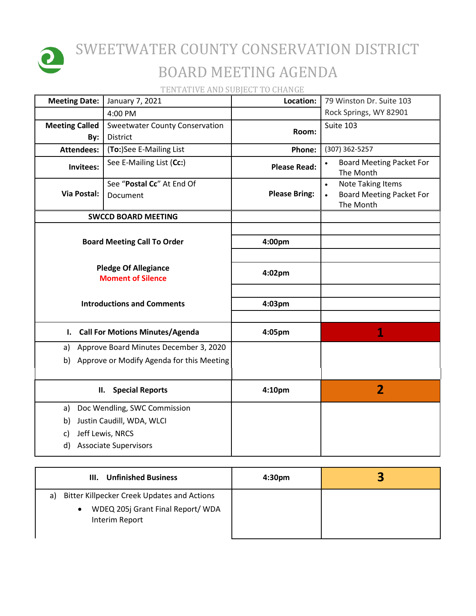

## SWEETWATER COUNTY CONSERVATION DISTRICT BOARD MEETING AGENDA

TENTATIVE AND SUBJECT TO CHANGE

| <b>Meeting Date:</b>                                     | January 7, 2021                                   | Location:            | 79 Winston Dr. Suite 103                                                                           |
|----------------------------------------------------------|---------------------------------------------------|----------------------|----------------------------------------------------------------------------------------------------|
|                                                          | 4:00 PM                                           |                      | Rock Springs, WY 82901                                                                             |
| <b>Meeting Called</b><br>By:                             | <b>Sweetwater County Conservation</b><br>District | Room:                | Suite 103                                                                                          |
| <b>Attendees:</b>                                        | (To:)See E-Mailing List                           | Phone:               | (307) 362-5257                                                                                     |
| Invitees:                                                | See E-Mailing List (Cc:)                          | <b>Please Read:</b>  | <b>Board Meeting Packet For</b><br>The Month                                                       |
| <b>Via Postal:</b>                                       | See "Postal Cc" At End Of<br>Document             | <b>Please Bring:</b> | <b>Note Taking Items</b><br>$\bullet$<br><b>Board Meeting Packet For</b><br>$\bullet$<br>The Month |
|                                                          | <b>SWCCD BOARD MEETING</b>                        |                      |                                                                                                    |
| <b>Board Meeting Call To Order</b>                       |                                                   | 4:00pm               |                                                                                                    |
| <b>Pledge Of Allegiance</b><br><b>Moment of Silence</b>  |                                                   | 4:02pm               |                                                                                                    |
| <b>Introductions and Comments</b>                        |                                                   | 4:03pm               |                                                                                                    |
| <b>Call For Motions Minutes/Agenda</b><br>$\mathbf{I}$ . |                                                   | 4:05pm               | 1                                                                                                  |
| a)                                                       | Approve Board Minutes December 3, 2020            |                      |                                                                                                    |
| b)                                                       | Approve or Modify Agenda for this Meeting         |                      |                                                                                                    |
| <b>Special Reports</b><br>П.                             |                                                   | 4:10pm               | $\overline{2}$                                                                                     |
| a)                                                       | Doc Wendling, SWC Commission                      |                      |                                                                                                    |
| b)                                                       | Justin Caudill, WDA, WLCI                         |                      |                                                                                                    |
| c)                                                       | Jeff Lewis, NRCS                                  |                      |                                                                                                    |
| d)                                                       | <b>Associate Supervisors</b>                      |                      |                                                                                                    |

| III. Unfinished Business                                                                                              | 4:30 <sub>pm</sub> |  |
|-----------------------------------------------------------------------------------------------------------------------|--------------------|--|
| Bitter Killpecker Creek Updates and Actions<br>a)<br>WDEQ 205j Grant Final Report/ WDA<br>$\bullet$<br>Interim Report |                    |  |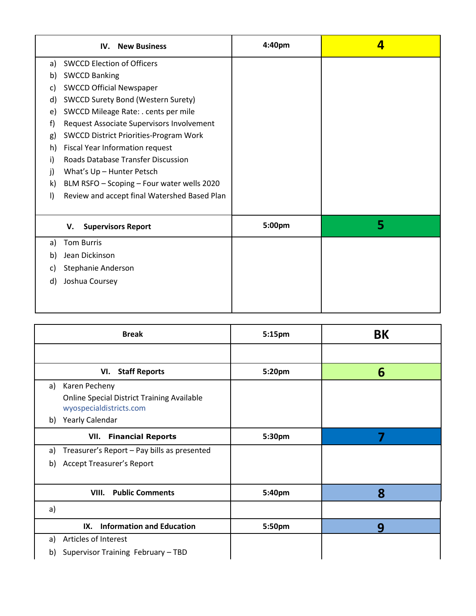|              | <b>New Business</b><br>IV.                    | 4:40 <sub>pm</sub> | 4 |
|--------------|-----------------------------------------------|--------------------|---|
| a)           | <b>SWCCD Election of Officers</b>             |                    |   |
| b)           | <b>SWCCD Banking</b>                          |                    |   |
| C)           | <b>SWCCD Official Newspaper</b>               |                    |   |
| d)           | <b>SWCCD Surety Bond (Western Surety)</b>     |                    |   |
| e)           | SWCCD Mileage Rate: . cents per mile          |                    |   |
| f)           | Request Associate Supervisors Involvement     |                    |   |
| g)           | <b>SWCCD District Priorities-Program Work</b> |                    |   |
| h)           | Fiscal Year Information request               |                    |   |
| i)           | Roads Database Transfer Discussion            |                    |   |
| $\mathbf{j}$ | What's Up - Hunter Petsch                     |                    |   |
| k)           | BLM RSFO - Scoping - Four water wells 2020    |                    |   |
| $\vert$      | Review and accept final Watershed Based Plan  |                    |   |
|              |                                               |                    |   |
|              | <b>Supervisors Report</b><br>v.               | 5:00pm             | 5 |
| a)           | <b>Tom Burris</b>                             |                    |   |
| b)           | Jean Dickinson                                |                    |   |
| C)           | Stephanie Anderson                            |                    |   |
| d)           | Joshua Coursey                                |                    |   |
|              |                                               |                    |   |
|              |                                               |                    |   |

| <b>Break</b>                                                                 | 5:15pm | <b>BK</b> |
|------------------------------------------------------------------------------|--------|-----------|
|                                                                              |        |           |
| VI. Staff Reports                                                            | 5:20pm | 6         |
| Karen Pecheny<br>a)                                                          |        |           |
| <b>Online Special District Training Available</b><br>wyospecialdistricts.com |        |           |
| b) Yearly Calendar                                                           |        |           |
| <b>VII.</b> Financial Reports                                                | 5:30pm |           |
| Treasurer's Report - Pay bills as presented<br>a)                            |        |           |
| <b>Accept Treasurer's Report</b><br>b)                                       |        |           |
|                                                                              |        |           |
| <b>VIII.</b> Public Comments                                                 | 5:40pm | 8         |
| a)                                                                           |        |           |
| <b>Information and Education</b><br>IX.                                      | 5:50pm | 9         |
| Articles of Interest<br>a)                                                   |        |           |
| Supervisor Training February - TBD<br>b)                                     |        |           |